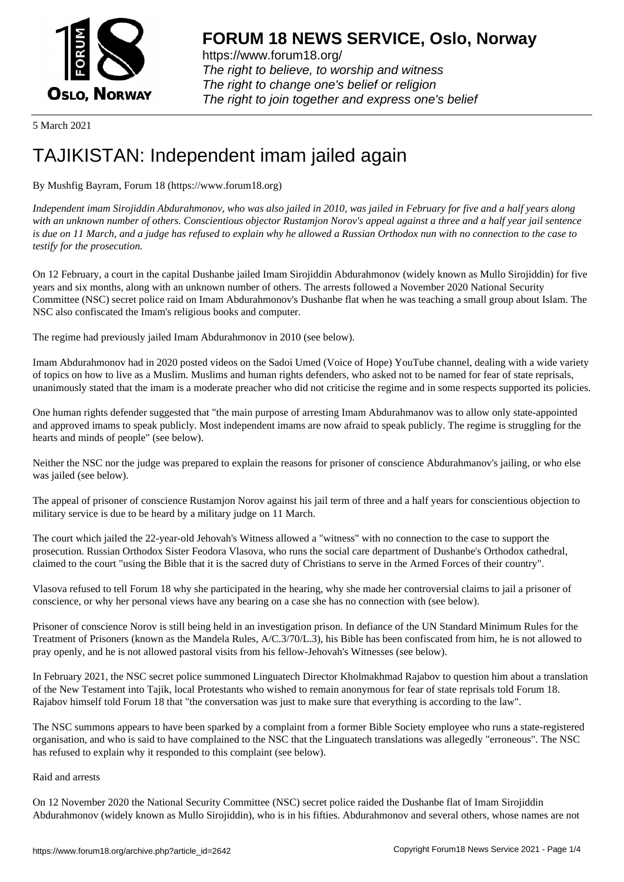

https://www.forum18.org/ The right to believe, to worship and witness The right to change one's belief or religion [The right to join together a](https://www.forum18.org/)nd express one's belief

5 March 2021

## [TAJIKISTAN: In](https://www.forum18.org)dependent imam jailed again

## By Mushfig Bayram, Forum 18 (https://www.forum18.org)

*Independent imam Sirojiddin Abdurahmonov, who was also jailed in 2010, was jailed in February for five and a half years along with an unknown number of others. Conscientious objector Rustamjon Norov's appeal against a three and a half year jail sentence is due on 11 March, and a judge has refused to explain why he allowed a Russian Orthodox nun with no connection to the case to testify for the prosecution.*

On 12 February, a court in the capital Dushanbe jailed Imam Sirojiddin Abdurahmonov (widely known as Mullo Sirojiddin) for five years and six months, along with an unknown number of others. The arrests followed a November 2020 National Security Committee (NSC) secret police raid on Imam Abdurahmonov's Dushanbe flat when he was teaching a small group about Islam. The NSC also confiscated the Imam's religious books and computer.

The regime had previously jailed Imam Abdurahmonov in 2010 (see below).

Imam Abdurahmonov had in 2020 posted videos on the Sadoi Umed (Voice of Hope) YouTube channel, dealing with a wide variety of topics on how to live as a Muslim. Muslims and human rights defenders, who asked not to be named for fear of state reprisals, unanimously stated that the imam is a moderate preacher who did not criticise the regime and in some respects supported its policies.

One human rights defender suggested that "the main purpose of arresting Imam Abdurahmanov was to allow only state-appointed and approved imams to speak publicly. Most independent imams are now afraid to speak publicly. The regime is struggling for the hearts and minds of people" (see below).

Neither the NSC nor the judge was prepared to explain the reasons for prisoner of conscience Abdurahmanov's jailing, or who else was jailed (see below).

The appeal of prisoner of conscience Rustamjon Norov against his jail term of three and a half years for conscientious objection to military service is due to be heard by a military judge on 11 March.

The court which jailed the 22-year-old Jehovah's Witness allowed a "witness" with no connection to the case to support the prosecution. Russian Orthodox Sister Feodora Vlasova, who runs the social care department of Dushanbe's Orthodox cathedral, claimed to the court "using the Bible that it is the sacred duty of Christians to serve in the Armed Forces of their country".

Vlasova refused to tell Forum 18 why she participated in the hearing, why she made her controversial claims to jail a prisoner of conscience, or why her personal views have any bearing on a case she has no connection with (see below).

Prisoner of conscience Norov is still being held in an investigation prison. In defiance of the UN Standard Minimum Rules for the Treatment of Prisoners (known as the Mandela Rules, A/C.3/70/L.3), his Bible has been confiscated from him, he is not allowed to pray openly, and he is not allowed pastoral visits from his fellow-Jehovah's Witnesses (see below).

In February 2021, the NSC secret police summoned Linguatech Director Kholmakhmad Rajabov to question him about a translation of the New Testament into Tajik, local Protestants who wished to remain anonymous for fear of state reprisals told Forum 18. Rajabov himself told Forum 18 that "the conversation was just to make sure that everything is according to the law".

The NSC summons appears to have been sparked by a complaint from a former Bible Society employee who runs a state-registered organisation, and who is said to have complained to the NSC that the Linguatech translations was allegedly "erroneous". The NSC has refused to explain why it responded to this complaint (see below).

## Raid and arrests

On 12 November 2020 the National Security Committee (NSC) secret police raided the Dushanbe flat of Imam Sirojiddin Abdurahmonov (widely known as Mullo Sirojiddin), who is in his fifties. Abdurahmonov and several others, whose names are not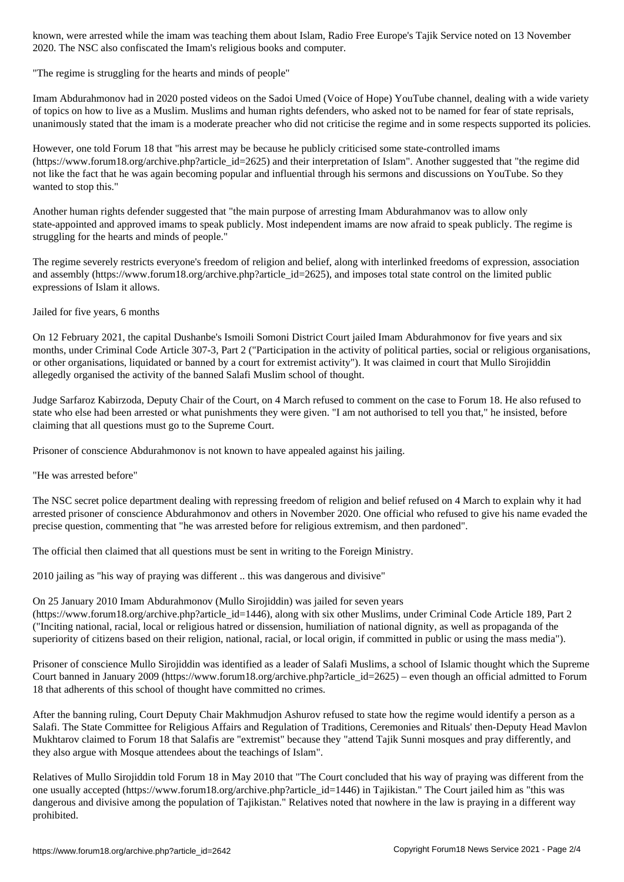2020. The NSC also confiscated the Imam's religious books and computer.

"The regime is struggling for the hearts and minds of people"

Imam Abdurahmonov had in 2020 posted videos on the Sadoi Umed (Voice of Hope) YouTube channel, dealing with a wide variety of topics on how to live as a Muslim. Muslims and human rights defenders, who asked not to be named for fear of state reprisals, unanimously stated that the imam is a moderate preacher who did not criticise the regime and in some respects supported its policies.

However, one told Forum 18 that "his arrest may be because he publicly criticised some state-controlled imams (https://www.forum18.org/archive.php?article\_id=2625) and their interpretation of Islam". Another suggested that "the regime did not like the fact that he was again becoming popular and influential through his sermons and discussions on YouTube. So they wanted to stop this."

Another human rights defender suggested that "the main purpose of arresting Imam Abdurahmanov was to allow only state-appointed and approved imams to speak publicly. Most independent imams are now afraid to speak publicly. The regime is struggling for the hearts and minds of people."

The regime severely restricts everyone's freedom of religion and belief, along with interlinked freedoms of expression, association and assembly (https://www.forum18.org/archive.php?article\_id=2625), and imposes total state control on the limited public expressions of Islam it allows.

## Jailed for five years, 6 months

On 12 February 2021, the capital Dushanbe's Ismoili Somoni District Court jailed Imam Abdurahmonov for five years and six months, under Criminal Code Article 307-3, Part 2 ("Participation in the activity of political parties, social or religious organisations, or other organisations, liquidated or banned by a court for extremist activity"). It was claimed in court that Mullo Sirojiddin allegedly organised the activity of the banned Salafi Muslim school of thought.

Judge Sarfaroz Kabirzoda, Deputy Chair of the Court, on 4 March refused to comment on the case to Forum 18. He also refused to state who else had been arrested or what punishments they were given. "I am not authorised to tell you that," he insisted, before claiming that all questions must go to the Supreme Court.

Prisoner of conscience Abdurahmonov is not known to have appealed against his jailing.

"He was arrested before"

The NSC secret police department dealing with repressing freedom of religion and belief refused on 4 March to explain why it had arrested prisoner of conscience Abdurahmonov and others in November 2020. One official who refused to give his name evaded the precise question, commenting that "he was arrested before for religious extremism, and then pardoned".

The official then claimed that all questions must be sent in writing to the Foreign Ministry.

2010 jailing as "his way of praying was different .. this was dangerous and divisive"

On 25 January 2010 Imam Abdurahmonov (Mullo Sirojiddin) was jailed for seven years (https://www.forum18.org/archive.php?article\_id=1446), along with six other Muslims, under Criminal Code Article 189, Part 2 ("Inciting national, racial, local or religious hatred or dissension, humiliation of national dignity, as well as propaganda of the superiority of citizens based on their religion, national, racial, or local origin, if committed in public or using the mass media").

Prisoner of conscience Mullo Sirojiddin was identified as a leader of Salafi Muslims, a school of Islamic thought which the Supreme Court banned in January 2009 (https://www.forum18.org/archive.php?article  $id=2625$ ) – even though an official admitted to Forum 18 that adherents of this school of thought have committed no crimes.

After the banning ruling, Court Deputy Chair Makhmudjon Ashurov refused to state how the regime would identify a person as a Salafi. The State Committee for Religious Affairs and Regulation of Traditions, Ceremonies and Rituals' then-Deputy Head Mavlon Mukhtarov claimed to Forum 18 that Salafis are "extremist" because they "attend Tajik Sunni mosques and pray differently, and they also argue with Mosque attendees about the teachings of Islam".

Relatives of Mullo Sirojiddin told Forum 18 in May 2010 that "The Court concluded that his way of praying was different from the one usually accepted (https://www.forum18.org/archive.php?article\_id=1446) in Tajikistan." The Court jailed him as "this was dangerous and divisive among the population of Tajikistan." Relatives noted that nowhere in the law is praying in a different way prohibited.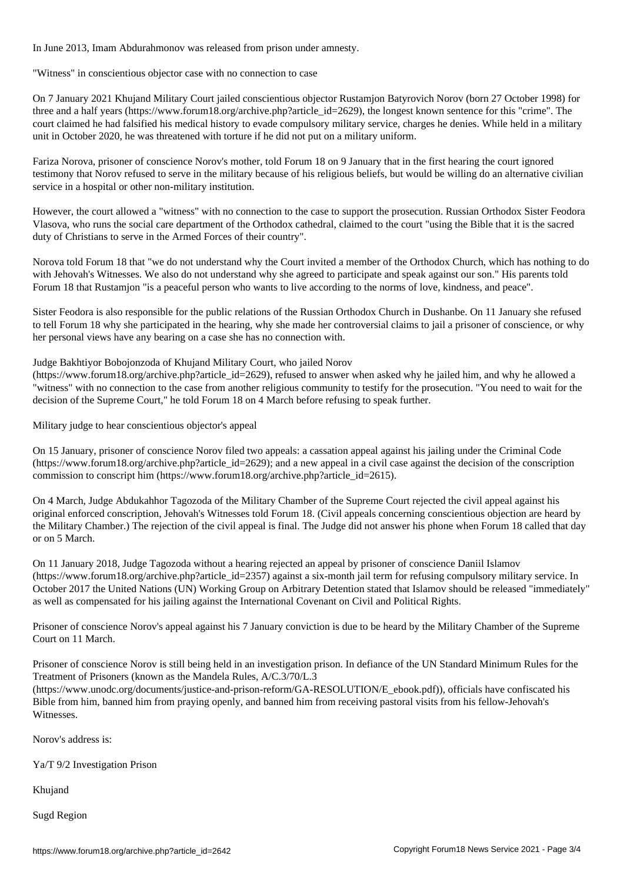In June 2013, Imam Abdurahmonov was released from prison under amnesty.

"Witness" in conscientious objector case with no connection to case

On 7 January 2021 Khujand Military Court jailed conscientious objector Rustamjon Batyrovich Norov (born 27 October 1998) for three and a half years (https://www.forum18.org/archive.php?article id=2629), the longest known sentence for this "crime". The court claimed he had falsified his medical history to evade compulsory military service, charges he denies. While held in a military unit in October 2020, he was threatened with torture if he did not put on a military uniform.

Fariza Norova, prisoner of conscience Norov's mother, told Forum 18 on 9 January that in the first hearing the court ignored testimony that Norov refused to serve in the military because of his religious beliefs, but would be willing do an alternative civilian service in a hospital or other non-military institution.

However, the court allowed a "witness" with no connection to the case to support the prosecution. Russian Orthodox Sister Feodora Vlasova, who runs the social care department of the Orthodox cathedral, claimed to the court "using the Bible that it is the sacred duty of Christians to serve in the Armed Forces of their country".

Norova told Forum 18 that "we do not understand why the Court invited a member of the Orthodox Church, which has nothing to do with Jehovah's Witnesses. We also do not understand why she agreed to participate and speak against our son." His parents told Forum 18 that Rustamjon "is a peaceful person who wants to live according to the norms of love, kindness, and peace".

Sister Feodora is also responsible for the public relations of the Russian Orthodox Church in Dushanbe. On 11 January she refused to tell Forum 18 why she participated in the hearing, why she made her controversial claims to jail a prisoner of conscience, or why her personal views have any bearing on a case she has no connection with.

Judge Bakhtiyor Bobojonzoda of Khujand Military Court, who jailed Norov

(https://www.forum18.org/archive.php?article\_id=2629), refused to answer when asked why he jailed him, and why he allowed a "witness" with no connection to the case from another religious community to testify for the prosecution. "You need to wait for the decision of the Supreme Court," he told Forum 18 on 4 March before refusing to speak further.

Military judge to hear conscientious objector's appeal

On 15 January, prisoner of conscience Norov filed two appeals: a cassation appeal against his jailing under the Criminal Code  $(\text{https://www.forum18.org/archive.php?article id=2629})$ ; and a new appeal in a civil case against the decision of the conscription commission to conscript him (https://www.forum18.org/archive.php?article\_id=2615).

On 4 March, Judge Abdukahhor Tagozoda of the Military Chamber of the Supreme Court rejected the civil appeal against his original enforced conscription, Jehovah's Witnesses told Forum 18. (Civil appeals concerning conscientious objection are heard by the Military Chamber.) The rejection of the civil appeal is final. The Judge did not answer his phone when Forum 18 called that day or on 5 March.

On 11 January 2018, Judge Tagozoda without a hearing rejected an appeal by prisoner of conscience Daniil Islamov (https://www.forum18.org/archive.php?article\_id=2357) against a six-month jail term for refusing compulsory military service. In October 2017 the United Nations (UN) Working Group on Arbitrary Detention stated that Islamov should be released "immediately" as well as compensated for his jailing against the International Covenant on Civil and Political Rights.

Prisoner of conscience Norov's appeal against his 7 January conviction is due to be heard by the Military Chamber of the Supreme Court on 11 March.

Prisoner of conscience Norov is still being held in an investigation prison. In defiance of the UN Standard Minimum Rules for the Treatment of Prisoners (known as the Mandela Rules, A/C.3/70/L.3

(https://www.unodc.org/documents/justice-and-prison-reform/GA-RESOLUTION/E\_ebook.pdf)), officials have confiscated his Bible from him, banned him from praying openly, and banned him from receiving pastoral visits from his fellow-Jehovah's Witnesses.

Norov's address is:

Ya/T 9/2 Investigation Prison

Khujand

Sugd Region